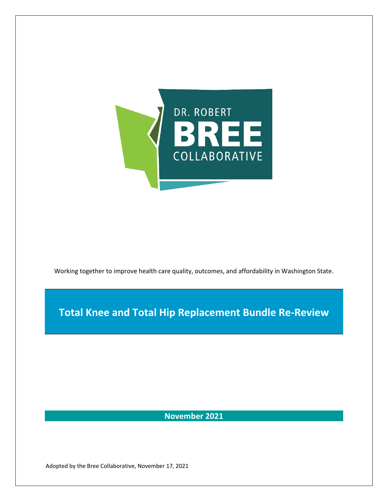

Working together to improve health care quality, outcomes, and affordability in Washington State.

**Total Knee and Total Hip Replacement Bundle Re-Review**

**November 2021**

Adopted by the Bree Collaborative, November 17, 2021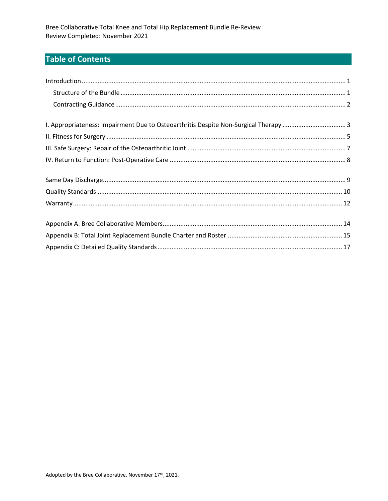# **Table of Contents**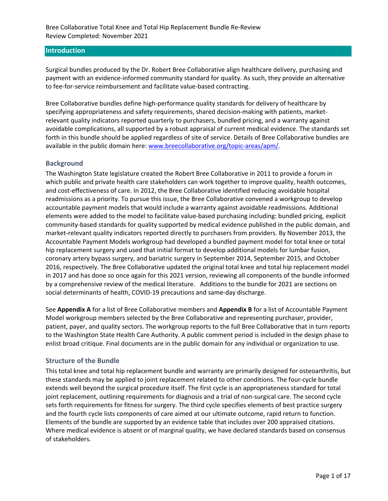### **Introduction**

Surgical bundles produced by the Dr. Robert Bree Collaborative align healthcare delivery, purchasing and payment with an evidence-informed community standard for quality. As such, they provide an alternative to fee-for-service reimbursement and facilitate value-based contracting.

Bree Collaborative bundles define high-performance quality standards for delivery of healthcare by specifying appropriateness and safety requirements, shared decision-making with patients, marketrelevant quality indicators reported quarterly to purchasers, bundled pricing, and a warranty against avoidable complications, all supported by a robust appraisal of current medical evidence. The standards set forth in this bundle should be applied regardless of site of service. Details of Bree Collaborative bundles are available in the public domain here: www.breecollaborative.org/topic-areas/apm/.

# **Background**

The Washington State legislature created the Robert Bree Collaborative in 2011 to provide a forum in which public and private health care stakeholders can work together to improve quality, health outcomes, and cost-effectiveness of care. In 2012, the Bree Collaborative identified reducing avoidable hospital readmissions as a priority. To pursue this issue, the Bree Collaborative convened a workgroup to develop accountable payment models that would include a warranty against avoidable readmissions. Additional elements were added to the model to facilitate value-based purchasing including: bundled pricing, explicit community-based standards for quality supported by medical evidence published in the public domain, and market-relevant quality indicators reported directly to purchasers from providers. By November 2013, the Accountable Payment Models workgroup had developed a bundled payment model for total knee or total hip replacement surgery and used that initial format to develop additional models for lumbar fusion, coronary artery bypass surgery, and bariatric surgery in September 2014, September 2015, and October 2016, respectively. The Bree Collaborative updated the original total knee and total hip replacement model in 2017 and has done so once again for this 2021 version, reviewing all components of the bundle informed by a comprehensive review of the medical literature. Additions to the bundle for 2021 are sections on social determinants of health, COVID-19 precautions and same-day discharge.

See **Appendix A** for a list of Bree Collaborative members and **Appendix B** for a list of Accountable Payment Model workgroup members selected by the Bree Collaborative and representing purchaser, provider, patient, payer, and quality sectors. The workgroup reports to the full Bree Collaborative that in turn reports to the Washington State Health Care Authority. A public comment period is included in the design phase to enlist broad critique. Final documents are in the public domain for any individual or organization to use.

#### **Structure of the Bundle**

This total knee and total hip replacement bundle and warranty are primarily designed for osteoarthritis, but these standards may be applied to joint replacement related to other conditions. The four-cycle bundle extends well beyond the surgical procedure itself. The first cycle is an appropriateness standard for total joint replacement, outlining requirements for diagnosis and a trial of non-surgical care. The second cycle sets forth requirements for fitness for surgery. The third cycle specifies elements of best practice surgery and the fourth cycle lists components of care aimed at our ultimate outcome, rapid return to function. Elements of the bundle are supported by an evidence table that includes over 200 appraised citations. Where medical evidence is absent or of marginal quality, we have declared standards based on consensus of stakeholders.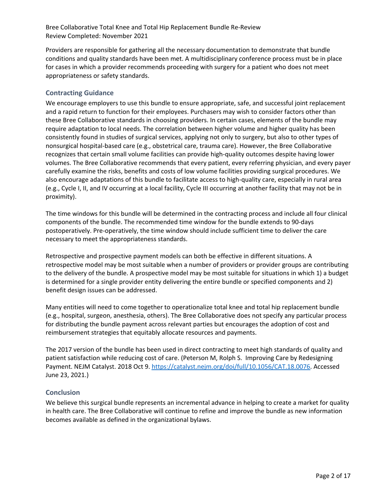Providers are responsible for gathering all the necessary documentation to demonstrate that bundle conditions and quality standards have been met. A multidisciplinary conference process must be in place for cases in which a provider recommends proceeding with surgery for a patient who does not meet appropriateness or safety standards.

# **Contracting Guidance**

We encourage employers to use this bundle to ensure appropriate, safe, and successful joint replacement and a rapid return to function for their employees. Purchasers may wish to consider factors other than these Bree Collaborative standards in choosing providers. In certain cases, elements of the bundle may require adaptation to local needs. The correlation between higher volume and higher quality has been consistently found in studies of surgical services, applying not only to surgery, but also to other types of nonsurgical hospital-based care (e.g., obstetrical care, trauma care). However, the Bree Collaborative recognizes that certain small volume facilities can provide high-quality outcomes despite having lower volumes. The Bree Collaborative recommends that every patient, every referring physician, and every payer carefully examine the risks, benefits and costs of low volume facilities providing surgical procedures. We also encourage adaptations of this bundle to facilitate access to high-quality care, especially in rural area (e.g., Cycle I, II, and IV occurring at a local facility, Cycle III occurring at another facility that may not be in proximity).

The time windows for this bundle will be determined in the contracting process and include all four clinical components of the bundle. The recommended time window for the bundle extends to 90-days postoperatively. Pre-operatively, the time window should include sufficient time to deliver the care necessary to meet the appropriateness standards.

Retrospective and prospective payment models can both be effective in different situations. A retrospective model may be most suitable when a number of providers or provider groups are contributing to the delivery of the bundle. A prospective model may be most suitable for situations in which 1) a budget is determined for a single provider entity delivering the entire bundle or specified components and 2) benefit design issues can be addressed.

Many entities will need to come together to operationalize total knee and total hip replacement bundle (e.g., hospital, surgeon, anesthesia, others). The Bree Collaborative does not specify any particular process for distributing the bundle payment across relevant parties but encourages the adoption of cost and reimbursement strategies that equitably allocate resources and payments.

The 2017 version of the bundle has been used in direct contracting to meet high standards of quality and patient satisfaction while reducing cost of care. (Peterson M, Rolph S. Improving Care by Redesigning Payment. NEJM Catalyst. 2018 Oct 9. https://catalyst.nejm.org/doi/full/10.1056/CAT.18.0076. Accessed June 23, 2021.)

#### **Conclusion**

We believe this surgical bundle represents an incremental advance in helping to create a market for quality in health care. The Bree Collaborative will continue to refine and improve the bundle as new information becomes available as defined in the organizational bylaws.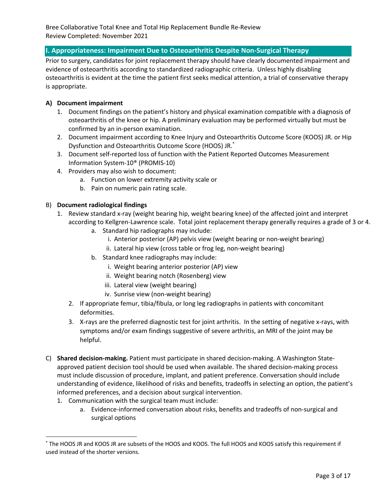# **I. Appropriateness: Impairment Due to Osteoarthritis Despite Non-Surgical Therapy**

Prior to surgery, candidates for joint replacement therapy should have clearly documented impairment and evidence of osteoarthritis according to standardized radiographic criteria. Unless highly disabling osteoarthritis is evident at the time the patient first seeks medical attention, a trial of conservative therapy is appropriate.

# **A) Document impairment**

- 1. Document findings on the patient's history and physical examination compatible with a diagnosis of osteoarthritis of the knee or hip. A preliminary evaluation may be performed virtually but must be confirmed by an in-person examination.
- 2. Document impairment according to Knee Injury and Osteoarthritis Outcome Score (KOOS) JR. or Hip Dysfunction and Osteoarthritis Outcome Score (HOOS) JR. \*
- 3. Document self-reported loss of function with the Patient Reported Outcomes Measurement Information System-10® (PROMIS-10)
- 4. Providers may also wish to document:
	- a. Function on lower extremity activity scale or
	- b. Pain on numeric pain rating scale.

# B) **Document radiological findings**

- 1. Review standard x-ray (weight bearing hip, weight bearing knee) of the affected joint and interpret according to Kellgren-Lawrence scale. Total joint replacement therapy generally requires a grade of 3 or 4.
	- a. Standard hip radiographs may include:
		- i. Anterior posterior (AP) pelvis view (weight bearing or non-weight bearing)
		- ii. Lateral hip view (cross table or frog leg, non-weight bearing)
	- b. Standard knee radiographs may include:
		- i. Weight bearing anterior posterior (AP) view
		- ii. Weight bearing notch (Rosenberg) view
		- iii. Lateral view (weight bearing)
		- iv. Sunrise view (non-weight bearing)
	- 2. If appropriate femur, tibia/fibula, or long leg radiographs in patients with concomitant deformities.
	- 3. X-rays are the preferred diagnostic test for joint arthritis. In the setting of negative x-rays, with symptoms and/or exam findings suggestive of severe arthritis, an MRI of the joint may be helpful.
- C) **Shared decision-making.** Patient must participate in shared decision-making. A Washington Stateapproved patient decision tool should be used when available. The shared decision-making process must include discussion of procedure, implant, and patient preference. Conversation should include understanding of evidence, likelihood of risks and benefits, tradeoffs in selecting an option, the patient's informed preferences, and a decision about surgical intervention.
	- 1. Communication with the surgical team must include:
		- a. Evidence-informed conversation about risks, benefits and tradeoffs of non-surgical and surgical options

<sup>\*</sup> The HOOS JR and KOOS JR are subsets of the HOOS and KOOS. The full HOOS and KOOS satisfy this requirement if used instead of the shorter versions.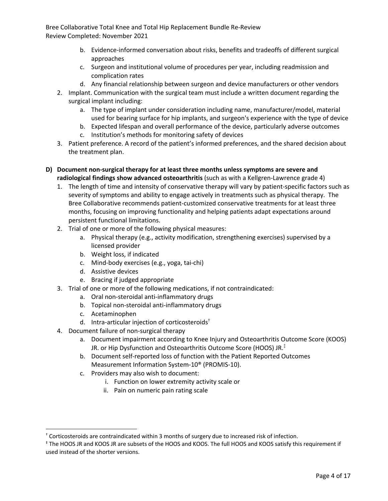- b. Evidence-informed conversation about risks, benefits and tradeoffs of different surgical approaches
- c. Surgeon and institutional volume of procedures per year, including readmission and complication rates
- d. Any financial relationship between surgeon and device manufacturers or other vendors
- 2. Implant. Communication with the surgical team must include a written document regarding the surgical implant including:
	- a. The type of implant under consideration including name, manufacturer/model, material used for bearing surface for hip implants, and surgeon's experience with the type of device
	- b. Expected lifespan and overall performance of the device, particularly adverse outcomes
	- c. Institution's methods for monitoring safety of devices
- 3. Patient preference. A record of the patient's informed preferences, and the shared decision about the treatment plan.
- **D) Document non-surgical therapy for at least three months unless symptoms are severe and radiological findings show advanced osteoarthritis** (such as with a Kellgren-Lawrence grade 4)
	- 1. The length of time and intensity of conservative therapy will vary by patient-specific factors such as severity of symptoms and ability to engage actively in treatments such as physical therapy. The Bree Collaborative recommends patient-customized conservative treatments for at least three months, focusing on improving functionality and helping patients adapt expectations around persistent functional limitations.
	- 2. Trial of one or more of the following physical measures:
		- a. Physical therapy (e.g., activity modification, strengthening exercises) supervised by a licensed provider
		- b. Weight loss, if indicated
		- c. Mind-body exercises (e.g., yoga, tai-chi)
		- d. Assistive devices
		- e. Bracing if judged appropriate
	- 3. Trial of one or more of the following medications, if not contraindicated:
		- a. Oral non-steroidal anti-inflammatory drugs
		- b. Topical non-steroidal anti-inflammatory drugs
		- c. Acetaminophen
		- d. Intra-articular injection of corticosteroids†
	- 4. Document failure of non-surgical therapy
		- a. Document impairment according to Knee Injury and Osteoarthritis Outcome Score (KOOS) JR. or Hip Dysfunction and Osteoarthritis Outcome Score (HOOS) JR. $^\ddag$
		- b. Document self-reported loss of function with the Patient Reported Outcomes Measurement Information System-10® (PROMIS-10).
		- c. Providers may also wish to document:
			- i. Function on lower extremity activity scale or
			- ii. Pain on numeric pain rating scale

<sup>&</sup>lt;sup>†</sup> Corticosteroids are contraindicated within 3 months of surgery due to increased risk of infection.<br><sup>‡</sup> The HOOS JR and KOOS JR are subsets of the HOOS and KOOS. The full HOOS and KOOS satisfy this requirement if used instead of the shorter versions.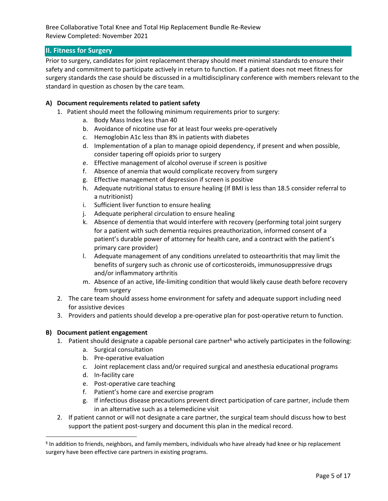# **II. Fitness for Surgery**

Prior to surgery, candidates for joint replacement therapy should meet minimal standards to ensure their safety and commitment to participate actively in return to function. If a patient does not meet fitness for surgery standards the case should be discussed in a multidisciplinary conference with members relevant to the standard in question as chosen by the care team.

# **A) Document requirements related to patient safety**

- 1. Patient should meet the following minimum requirements prior to surgery:
	- a. Body Mass Index less than 40
	- b. Avoidance of nicotine use for at least four weeks pre-operatively
	- c. Hemoglobin A1c less than 8% in patients with diabetes
	- d. Implementation of a plan to manage opioid dependency, if present and when possible, consider tapering off opioids prior to surgery
	- e. Effective management of alcohol overuse if screen is positive
	- f. Absence of anemia that would complicate recovery from surgery
	- g. Effective management of depression if screen is positive
	- h. Adequate nutritional status to ensure healing (If BMI is less than 18.5 consider referral to a nutritionist)
	- i. Sufficient liver function to ensure healing
	- j. Adequate peripheral circulation to ensure healing
	- k. Absence of dementia that would interfere with recovery (performing total joint surgery for a patient with such dementia requires preauthorization, informed consent of a patient's durable power of attorney for health care, and a contract with the patient's primary care provider)
	- l. Adequate management of any conditions unrelated to osteoarthritis that may limit the benefits of surgery such as chronic use of corticosteroids, immunosuppressive drugs and/or inflammatory arthritis
	- m. Absence of an active, life-limiting condition that would likely cause death before recovery from surgery
- 2. The care team should assess home environment for safety and adequate support including need for assistive devices
- 3. Providers and patients should develop a pre-operative plan for post-operative return to function.

#### **B) Document patient engagement**

- 1. Patient should designate a capable personal care partner<sup>§</sup> who actively participates in the following:
	- a. Surgical consultation
	- b. Pre-operative evaluation
	- c. Joint replacement class and/or required surgical and anesthesia educational programs
	- d. In-facility care
	- e. Post-operative care teaching
	- f. Patient's home care and exercise program
	- g. If infectious disease precautions prevent direct participation of care partner, include them in an alternative such as a telemedicine visit
- 2. If patient cannot or will not designate a care partner, the surgical team should discuss how to best support the patient post-surgery and document this plan in the medical record.

<sup>§</sup> In addition to friends, neighbors, and family members, individuals who have already had knee or hip replacement surgery have been effective care partners in existing programs.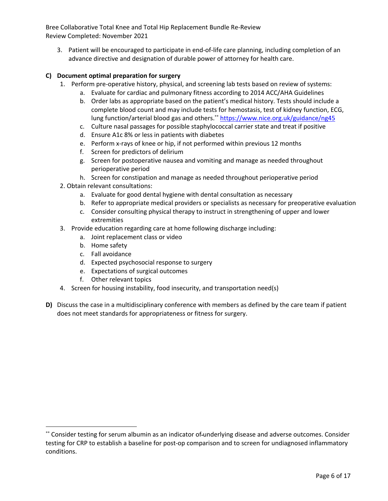3. Patient will be encouraged to participate in end-of-life care planning, including completion of an advance directive and designation of durable power of attorney for health care.

# **C) Document optimal preparation for surgery**

- 1. Perform pre-operative history, physical, and screening lab tests based on review of systems:
	- a. Evaluate for cardiac and pulmonary fitness according to 2014 ACC/AHA Guidelines
	- b. Order labs as appropriate based on the patient's medical history. Tests should include a complete blood count and may include tests for hemostasis, test of kidney function, ECG, lung function/arterial blood gas and others.\*\* https://www.nice.org.uk/guidance/ng45
	- c. Culture nasal passages for possible staphylococcal carrier state and treat if positive
	- d. Ensure A1c 8% or less in patients with diabetes
	- e. Perform x-rays of knee or hip, if not performed within previous 12 months
	- f. Screen for predictors of delirium
	- g. Screen for postoperative nausea and vomiting and manage as needed throughout perioperative period
	- h. Screen for constipation and manage as needed throughout perioperative period
- 2. Obtain relevant consultations:
	- a. Evaluate for good dental hygiene with dental consultation as necessary
	- b. Refer to appropriate medical providers or specialists as necessary for preoperative evaluation
	- c. Consider consulting physical therapy to instruct in strengthening of upper and lower extremities
- 3. Provide education regarding care at home following discharge including:
	- a. Joint replacement class or video
	- b. Home safety
	- c. Fall avoidance
	- d. Expected psychosocial response to surgery
	- e. Expectations of surgical outcomes
	- f. Other relevant topics
- 4. Screen for housing instability, food insecurity, and transportation need(s)
- **D)** Discuss the case in a multidisciplinary conference with members as defined by the care team if patient does not meet standards for appropriateness or fitness for surgery.

<sup>\*\*</sup> Consider testing for serum albumin as an indicator of-underlying disease and adverse outcomes. Consider testing for CRP to establish a baseline for post-op comparison and to screen for undiagnosed inflammatory conditions.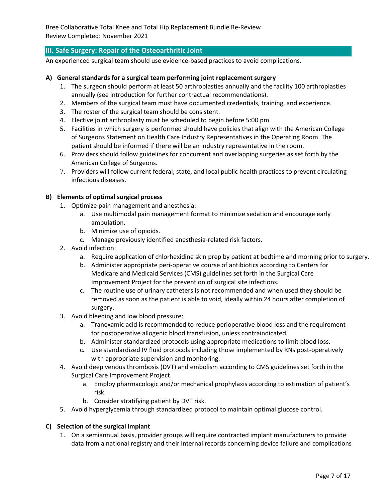# **III. Safe Surgery: Repair of the Osteoarthritic Joint**

An experienced surgical team should use evidence-based practices to avoid complications.

#### **A) General standards for a surgical team performing joint replacement surgery**

- 1. The surgeon should perform at least 50 arthroplasties annually and the facility 100 arthroplasties annually (see introduction for further contractual recommendations).
- 2. Members of the surgical team must have documented credentials, training, and experience.
- 3. The roster of the surgical team should be consistent.
- 4. Elective joint arthroplasty must be scheduled to begin before 5:00 pm.
- 5. Facilities in which surgery is performed should have policies that align with the American College of Surgeons Statement on Health Care Industry Representatives in the Operating Room. The patient should be informed if there will be an industry representative in the room.
- 6. Providers should follow guidelines for concurrent and overlapping surgeries as set forth by the American College of Surgeons.
- 7. Providers will follow current federal, state, and local public health practices to prevent circulating infectious diseases.

#### **B) Elements of optimal surgical process**

- 1. Optimize pain management and anesthesia:
	- a. Use multimodal pain management format to minimize sedation and encourage early ambulation.
	- b. Minimize use of opioids.
	- c. Manage previously identified anesthesia-related risk factors.
- 2. Avoid infection:
	- a. Require application of chlorhexidine skin prep by patient at bedtime and morning prior to surgery.
	- b. Administer appropriate peri-operative course of antibiotics according to Centers for Medicare and Medicaid Services (CMS) guidelines set forth in the Surgical Care Improvement Project for the prevention of surgical site infections.
	- c. The routine use of urinary catheters is not recommended and when used they should be removed as soon as the patient is able to void, ideally within 24 hours after completion of surgery.
- 3. Avoid bleeding and low blood pressure:
	- a. Tranexamic acid is recommended to reduce perioperative blood loss and the requirement for postoperative allogenic blood transfusion, unless contraindicated.
	- b. Administer standardized protocols using appropriate medications to limit blood loss.
	- c. Use standardized IV fluid protocols including those implemented by RNs post-operatively with appropriate supervision and monitoring.
- 4. Avoid deep venous thrombosis (DVT) and embolism according to CMS guidelines set forth in the Surgical Care Improvement Project.
	- a. Employ pharmacologic and/or mechanical prophylaxis according to estimation of patient's risk.
	- b. Consider stratifying patient by DVT risk.
- 5. Avoid hyperglycemia through standardized protocol to maintain optimal glucose control.

#### **C) Selection of the surgical implant**

1. On a semiannual basis, provider groups will require contracted implant manufacturers to provide data from a national registry and their internal records concerning device failure and complications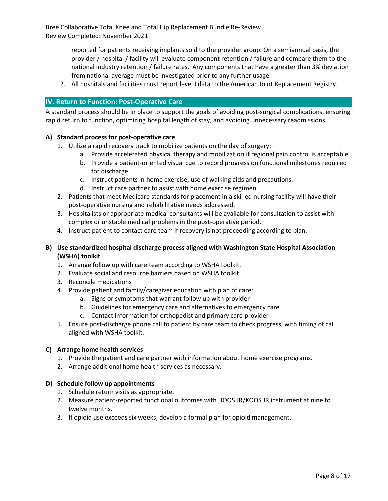> reported for patients receiving implants sold to the provider group. On a semiannual basis, the provider / hospital / facility will evaluate component retention / failure and compare them to the national industry retention / failure rates. Any components that have a greater than 3% deviation from national average must be investigated prior to any further usage.

2. All hospitals and facilities must report level I data to the American Joint Replacement Registry.

## **IV. Return to Function: Post-Operative Care**

A standard process should be in place to support the goals of avoiding post-surgical complications, ensuring rapid return to function, optimizing hospital length of stay, and avoiding unnecessary readmissions.

#### **A) Standard process for post-operative care**

- 1. Utilize a rapid recovery track to mobilize patients on the day of surgery:
	- a. Provide accelerated physical therapy and mobilization if regional pain control is acceptable.
	- b. Provide a patient-oriented visual cue to record progress on functional milestones required for discharge.
	- c. Instruct patients in home exercise, use of walking aids and precautions.
	- d. Instruct care partner to assist with home exercise regimen.
- 2. Patients that meet Medicare standards for placement in a skilled nursing facility will have their post-operative nursing and rehabilitative needs addressed.
- 3. Hospitalists or appropriate medical consultants will be available for consultation to assist with complex or unstable medical problems in the post-operative period.
- 4. Instruct patient to contact care team if recovery is not proceeding according to plan.
- **B) Use standardized hospital discharge process aligned with Washington State Hospital Association (WSHA) toolkit**
	- 1. Arrange follow up with care team according to WSHA toolkit.
	- 2. Evaluate social and resource barriers based on WSHA toolkit.
	- 3. Reconcile medications
	- 4. Provide patient and family/caregiver education with plan of care:
		- a. Signs or symptoms that warrant follow up with provider
		- b. Guidelines for emergency care and alternatives to emergency care
		- c. Contact information for orthopedist and primary care provider
	- 5. Ensure post-discharge phone call to patient by care team to check progress, with timing of call aligned with WSHA toolkit.

#### **C) Arrange home health services**

- 1. Provide the patient and care partner with information about home exercise programs.
- 2. Arrange additional home health services as necessary.

#### **D) Schedule follow up appointments**

- 1. Schedule return visits as appropriate.
- 2. Measure patient-reported functional outcomes with HOOS JR/KOOS JR instrument at nine to twelve months.
- 3. If opioid use exceeds six weeks, develop a formal plan for opioid management.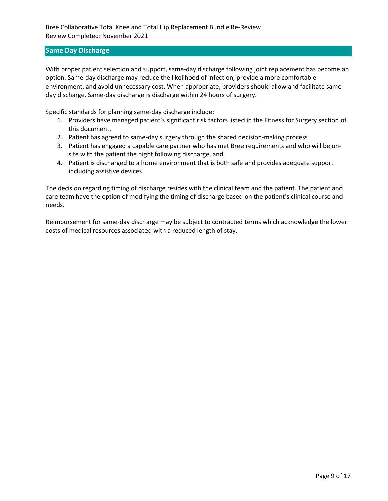### **Same Day Discharge**

With proper patient selection and support, same-day discharge following joint replacement has become an option. Same-day discharge may reduce the likelihood of infection, provide a more comfortable environment, and avoid unnecessary cost. When appropriate, providers should allow and facilitate sameday discharge. Same-day discharge is discharge within 24 hours of surgery.

Specific standards for planning same-day discharge include:

- 1. Providers have managed patient's significant risk factors listed in the Fitness for Surgery section of this document,
- 2. Patient has agreed to same-day surgery through the shared decision-making process
- 3. Patient has engaged a capable care partner who has met Bree requirements and who will be onsite with the patient the night following discharge, and
- 4. Patient is discharged to a home environment that is both safe and provides adequate support including assistive devices.

The decision regarding timing of discharge resides with the clinical team and the patient. The patient and care team have the option of modifying the timing of discharge based on the patient's clinical course and needs.

Reimbursement for same-day discharge may be subject to contracted terms which acknowledge the lower costs of medical resources associated with a reduced length of stay.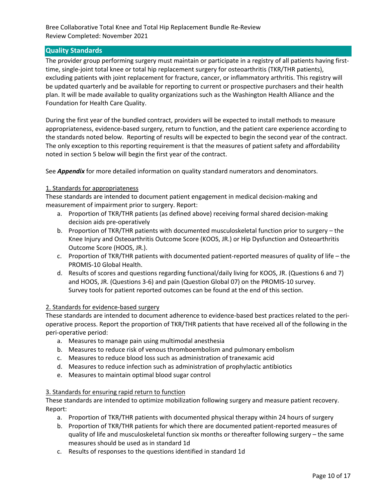# **Quality Standards**

The provider group performing surgery must maintain or participate in a registry of all patients having firsttime, single-joint total knee or total hip replacement surgery for osteoarthritis (TKR/THR patients), excluding patients with joint replacement for fracture, cancer, or inflammatory arthritis. This registry will be updated quarterly and be available for reporting to current or prospective purchasers and their health plan. It will be made available to quality organizations such as the Washington Health Alliance and the Foundation for Health Care Quality.

During the first year of the bundled contract, providers will be expected to install methods to measure appropriateness, evidence-based surgery, return to function, and the patient care experience according to the standards noted below. Reporting of results will be expected to begin the second year of the contract. The only exception to this reporting requirement is that the measures of patient safety and affordability noted in section 5 below will begin the first year of the contract.

See *Appendix* for more detailed information on quality standard numerators and denominators.

#### 1. Standards for appropriateness

These standards are intended to document patient engagement in medical decision-making and measurement of impairment prior to surgery. Report:

- a. Proportion of TKR/THR patients (as defined above) receiving formal shared decision-making decision aids pre-operatively
- b. Proportion of TKR/THR patients with documented musculoskeletal function prior to surgery the Knee Injury and Osteoarthritis Outcome Score (KOOS, JR.) or Hip Dysfunction and Osteoarthritis Outcome Score (HOOS, JR.).
- c. Proportion of TKR/THR patients with documented patient-reported measures of quality of life the PROMIS-10 Global Health.
- d. Results of scores and questions regarding functional/daily living for KOOS, JR. (Questions 6 and 7) and HOOS, JR. (Questions 3-6) and pain (Question Global 07) on the PROMIS-10 survey. Survey tools for patient reported outcomes can be found at the end of this section.

#### 2. Standards for evidence-based surgery

These standards are intended to document adherence to evidence-based best practices related to the perioperative process. Report the proportion of TKR/THR patients that have received all of the following in the peri-operative period:

- a. Measures to manage pain using multimodal anesthesia
- b. Measures to reduce risk of venous thromboembolism and pulmonary embolism
- c. Measures to reduce blood loss such as administration of tranexamic acid
- d. Measures to reduce infection such as administration of prophylactic antibiotics
- e. Measures to maintain optimal blood sugar control

#### 3. Standards for ensuring rapid return to function

These standards are intended to optimize mobilization following surgery and measure patient recovery. Report:

- a. Proportion of TKR/THR patients with documented physical therapy within 24 hours of surgery
- b. Proportion of TKR/THR patients for which there are documented patient-reported measures of quality of life and musculoskeletal function six months or thereafter following surgery – the same measures should be used as in standard 1d
- c. Results of responses to the questions identified in standard 1d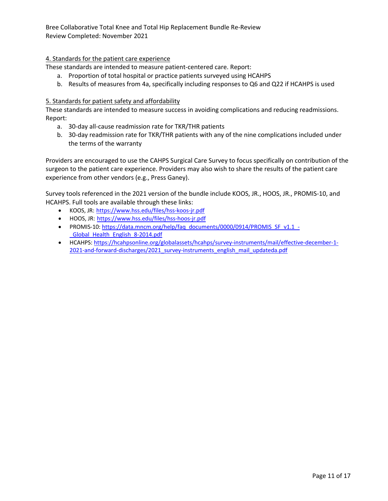# 4. Standards for the patient care experience

These standards are intended to measure patient-centered care. Report:

- a. Proportion of total hospital or practice patients surveyed using HCAHPS
- b. Results of measures from 4a, specifically including responses to Q6 and Q22 if HCAHPS is used

#### 5. Standards for patient safety and affordability

These standards are intended to measure success in avoiding complications and reducing readmissions. Report:

- a. 30-day all-cause readmission rate for TKR/THR patients
- b. 30-day readmission rate for TKR/THR patients with any of the nine complications included under the terms of the warranty

Providers are encouraged to use the CAHPS Surgical Care Survey to focus specifically on contribution of the surgeon to the patient care experience. Providers may also wish to share the results of the patient care experience from other vendors (e.g., Press Ganey).

Survey tools referenced in the 2021 version of the bundle include KOOS, JR., HOOS, JR., PROMIS-10, and HCAHPS. Full tools are available through these links:

- KOOS, JR: https://www.hss.edu/files/hss-koos-jr.pdf
- HOOS, JR: https://www.hss.edu/files/hss-hoos-jr.pdf
- PROMIS-10: https://data.mncm.org/help/faq\_documents/0000/0914/PROMIS\_SF\_v1.1\_-\_Global\_Health\_English\_8-2014.pdf
- HCAHPS: https://hcahpsonline.org/globalassets/hcahps/survey-instruments/mail/effective-december-1- 2021-and-forward-discharges/2021\_survey-instruments\_english\_mail\_updateda.pdf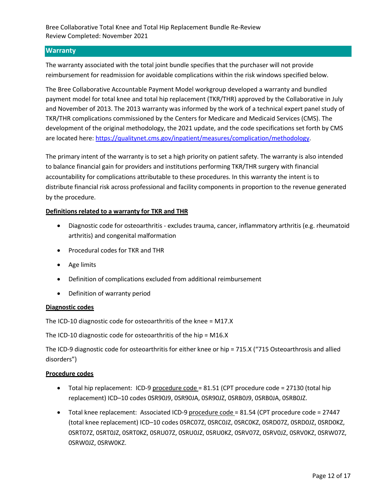# **Warranty**

The warranty associated with the total joint bundle specifies that the purchaser will not provide reimbursement for readmission for avoidable complications within the risk windows specified below.

The Bree Collaborative Accountable Payment Model workgroup developed a warranty and bundled payment model for total knee and total hip replacement (TKR/THR) approved by the Collaborative in July and November of 2013. The 2013 warranty was informed by the work of a technical expert panel study of TKR/THR complications commissioned by the Centers for Medicare and Medicaid Services (CMS). The development of the original methodology, the 2021 update, and the code specifications set forth by CMS are located here: https://qualitynet.cms.gov/inpatient/measures/complication/methodology.

The primary intent of the warranty is to set a high priority on patient safety. The warranty is also intended to balance financial gain for providers and institutions performing TKR/THR surgery with financial accountability for complications attributable to these procedures. In this warranty the intent is to distribute financial risk across professional and facility components in proportion to the revenue generated by the procedure.

#### **Definitions related to a warranty for TKR and THR**

- Diagnostic code for osteoarthritis excludes trauma, cancer, inflammatory arthritis (e.g. rheumatoid arthritis) and congenital malformation
- Procedural codes for TKR and THR
- Age limits
- Definition of complications excluded from additional reimbursement
- Definition of warranty period

#### **Diagnostic codes**

The ICD-10 diagnostic code for osteoarthritis of the knee = M17.X

The ICD-10 diagnostic code for osteoarthritis of the hip = M16.X

The ICD-9 diagnostic code for osteoarthritis for either knee or hip = 715.X ("715 Osteoarthrosis and allied disorders")

#### **Procedure codes**

- Total hip replacement: ICD-9 procedure code = 81.51 (CPT procedure code = 27130 (total hip replacement) ICD–10 codes 0SR90J9, 0SR90JA, 0SR90JZ, 0SRB0J9, 0SRB0JA, 0SRB0JZ.
- Total knee replacement: Associated ICD-9 procedure code = 81.54 (CPT procedure code = 27447 (total knee replacement) ICD–10 codes 0SRC07Z, 0SRC0JZ, 0SRC0KZ, 0SRD07Z, 0SRD0JZ, 0SRD0KZ, 0SRT07Z, 0SRT0JZ, 0SRT0KZ, 0SRU07Z, 0SRU0JZ, 0SRU0KZ, 0SRV07Z, 0SRV0JZ, 0SRV0KZ, 0SRW07Z, 0SRW0JZ, 0SRW0KZ.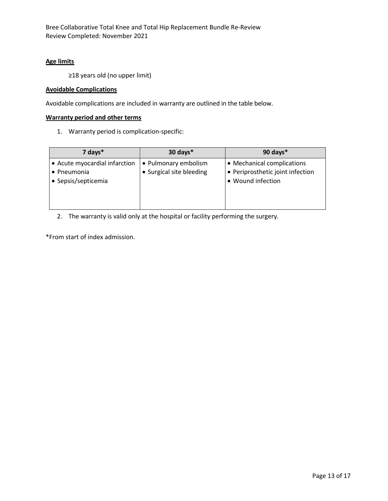#### **Age limits**

≥18 years old (no upper limit)

#### **Avoidable Complications**

Avoidable complications are included in warranty are outlined in the table below.

#### **Warranty period and other terms**

1. Warranty period is complication-specific:

| $7$ days $*$                                                        | 30 days*                                         | 90 days*                                                                            |
|---------------------------------------------------------------------|--------------------------------------------------|-------------------------------------------------------------------------------------|
| • Acute myocardial infarction<br>• Pneumonia<br>• Sepsis/septicemia | • Pulmonary embolism<br>• Surgical site bleeding | • Mechanical complications<br>• Periprosthetic joint infection<br>• Wound infection |

2. The warranty is valid only at the hospital or facility performing the surgery.

\*From start of index admission.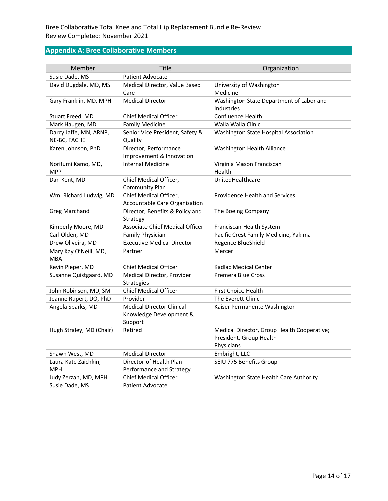# **Appendix A: Bree Collaborative Members**

| Member                              | Title                             | Organization                                |
|-------------------------------------|-----------------------------------|---------------------------------------------|
| Susie Dade, MS                      | Patient Advocate                  |                                             |
| David Dugdale, MD, MS               | Medical Director, Value Based     | University of Washington                    |
|                                     | Care                              | Medicine                                    |
| Gary Franklin, MD, MPH              | <b>Medical Director</b>           | Washington State Department of Labor and    |
|                                     |                                   | Industries                                  |
| Stuart Freed, MD                    | <b>Chief Medical Officer</b>      | Confluence Health                           |
| Mark Haugen, MD                     | <b>Family Medicine</b>            | Walla Walla Clinic                          |
| Darcy Jaffe, MN, ARNP,              | Senior Vice President, Safety &   | Washington State Hospital Association       |
| NE-BC, FACHE                        | Quality                           |                                             |
| Karen Johnson, PhD                  | Director, Performance             | Washington Health Alliance                  |
|                                     | Improvement & Innovation          |                                             |
| Norifumi Kamo, MD,<br><b>MPP</b>    | <b>Internal Medicine</b>          | Virginia Mason Franciscan<br>Health         |
| Dan Kent, MD                        | Chief Medical Officer,            | UnitedHealthcare                            |
|                                     | <b>Community Plan</b>             |                                             |
| Wm. Richard Ludwig, MD              | Chief Medical Officer,            | Providence Health and Services              |
|                                     | Accountable Care Organization     |                                             |
| <b>Greg Marchand</b>                | Director, Benefits & Policy and   | The Boeing Company                          |
|                                     | Strategy                          |                                             |
| Kimberly Moore, MD                  | Associate Chief Medical Officer   | Franciscan Health System                    |
| Carl Olden, MD                      | Family Physician                  | Pacific Crest Family Medicine, Yakima       |
| Drew Oliveira, MD                   | <b>Executive Medical Director</b> | Regence BlueShield                          |
| Mary Kay O'Neill, MD,<br><b>MBA</b> | Partner                           | Mercer                                      |
| Kevin Pieper, MD                    | <b>Chief Medical Officer</b>      | Kadlac Medical Center                       |
| Susanne Quistgaard, MD              | Medical Director, Provider        | Premera Blue Cross                          |
|                                     | <b>Strategies</b>                 |                                             |
| John Robinson, MD, SM               | <b>Chief Medical Officer</b>      | First Choice Health                         |
| Jeanne Rupert, DO, PhD              | Provider                          | The Everett Clinic                          |
| Angela Sparks, MD                   | <b>Medical Director Clinical</b>  | Kaiser Permanente Washington                |
|                                     | Knowledge Development &           |                                             |
|                                     | Support                           |                                             |
| Hugh Straley, MD (Chair)            | Retired                           | Medical Director, Group Health Cooperative; |
|                                     |                                   | President, Group Health                     |
|                                     |                                   | Physicians                                  |
| Shawn West, MD                      | <b>Medical Director</b>           | Embright, LLC                               |
| Laura Kate Zaichkin,                | Director of Health Plan           | SEIU 775 Benefits Group                     |
| <b>MPH</b>                          | Performance and Strategy          |                                             |
| Judy Zerzan, MD, MPH                | <b>Chief Medical Officer</b>      | Washington State Health Care Authority      |
| Susie Dade, MS                      | <b>Patient Advocate</b>           |                                             |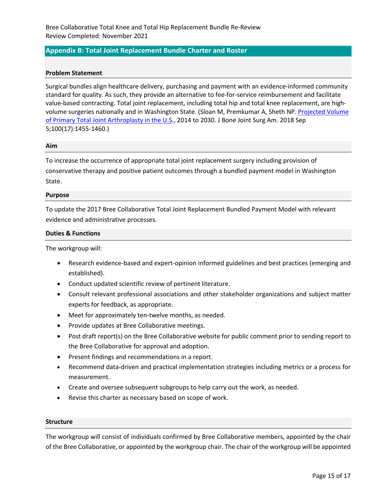# **Appendix B: Total Joint Replacement Bundle Charter and Roster**

#### **Problem Statement**

Surgical bundles align healthcare delivery, purchasing and payment with an evidence-informed community standard for quality. As such, they provide an alternative to fee-for-service reimbursement and facilitate value-based contracting. Total joint replacement, including total hip and total knee replacement, are highvolume surgeries nationally and in Washington State. (Sloan M, Premkumar A, Sheth NP. Projected Volume of Primary Total Joint Arthroplasty in the U.S., 2014 to 2030. J Bone Joint Surg Am. 2018 Sep 5;100(17):1455-1460.)

#### **Aim**

To increase the occurrence of appropriate total joint replacement surgery including provision of conservative therapy and positive patient outcomes through a bundled payment model in Washington State.

#### **Purpose**

To update the 2017 Bree Collaborative Total Joint Replacement Bundled Payment Model with relevant evidence and administrative processes.

#### **Duties & Functions**

The workgroup will:

- Research evidence-based and expert-opinion informed guidelines and best practices (emerging and established).
- Conduct updated scientific review of pertinent literature.
- Consult relevant professional associations and other stakeholder organizations and subject matter experts for feedback, as appropriate.
- Meet for approximately ten-twelve months, as needed.
- Provide updates at Bree Collaborative meetings.
- Post draft report(s) on the Bree Collaborative website for public comment prior to sending report to the Bree Collaborative for approval and adoption.
- Present findings and recommendations in a report.
- Recommend data-driven and practical implementation strategies including metrics or a process for measurement.
- Create and oversee subsequent subgroups to help carry out the work, as needed.
- Revise this charter as necessary based on scope of work.

#### **Structure**

The workgroup will consist of individuals confirmed by Bree Collaborative members, appointed by the chair of the Bree Collaborative, or appointed by the workgroup chair. The chair of the workgroup will be appointed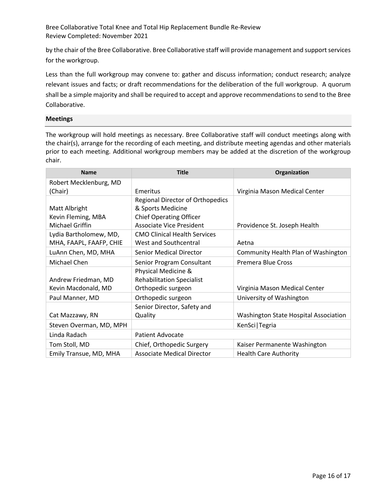by the chair of the Bree Collaborative. Bree Collaborative staff will provide management and support services for the workgroup.

Less than the full workgroup may convene to: gather and discuss information; conduct research; analyze relevant issues and facts; or draft recommendations for the deliberation of the full workgroup. A quorum shall be a simple majority and shall be required to accept and approve recommendations to send to the Bree Collaborative.

#### **Meetings**

The workgroup will hold meetings as necessary. Bree Collaborative staff will conduct meetings along with the chair(s), arrange for the recording of each meeting, and distribute meeting agendas and other materials prior to each meeting. Additional workgroup members may be added at the discretion of the workgroup chair.

| <b>Name</b>             | <b>Title</b>                        | Organization                          |
|-------------------------|-------------------------------------|---------------------------------------|
| Robert Mecklenburg, MD  |                                     |                                       |
| (Chair)                 | Emeritus                            | Virginia Mason Medical Center         |
|                         | Regional Director of Orthopedics    |                                       |
| Matt Albright           | & Sports Medicine                   |                                       |
| Kevin Fleming, MBA      | <b>Chief Operating Officer</b>      |                                       |
| Michael Griffin         | <b>Associate Vice President</b>     | Providence St. Joseph Health          |
| Lydia Bartholomew, MD,  | <b>CMO Clinical Health Services</b> |                                       |
| MHA, FAAPL, FAAFP, CHIE | West and Southcentral               | Aetna                                 |
| LuAnn Chen, MD, MHA     | <b>Senior Medical Director</b>      | Community Health Plan of Washington   |
| Michael Chen            | Senior Program Consultant           | Premera Blue Cross                    |
|                         | Physical Medicine &                 |                                       |
| Andrew Friedman, MD     | <b>Rehabilitation Specialist</b>    |                                       |
| Kevin Macdonald, MD     | Orthopedic surgeon                  | Virginia Mason Medical Center         |
| Paul Manner, MD         | Orthopedic surgeon                  | University of Washington              |
|                         | Senior Director, Safety and         |                                       |
| Cat Mazzawy, RN         | Quality                             | Washington State Hospital Association |
| Steven Overman, MD, MPH |                                     | KenSci   Tegria                       |
| Linda Radach            | <b>Patient Advocate</b>             |                                       |
| Tom Stoll, MD           | Chief, Orthopedic Surgery           | Kaiser Permanente Washington          |
| Emily Transue, MD, MHA  | <b>Associate Medical Director</b>   | <b>Health Care Authority</b>          |